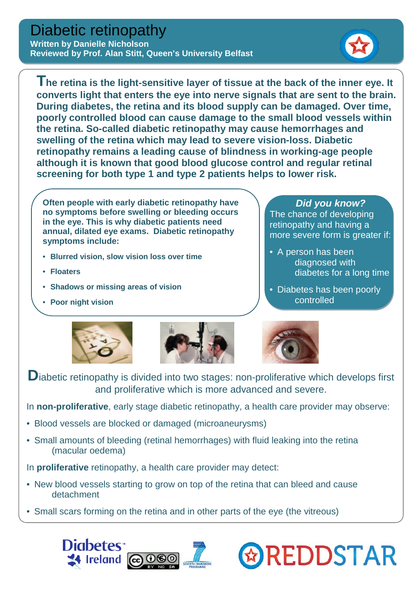## Diabetic retinopathy

**Written by Danielle Nicholson Reviewed by Prof. Alan Stitt, Queen's University Belfast**



**The retina is the light-sensitive layer of tissue at the back of the inner eye. It converts light that enters the eye into nerve signals that are sent to the brain. During diabetes, the retina and its blood supply can be damaged. Over time, poorly controlled blood can cause damage to the small blood vessels within the retina. So-called diabetic retinopathy may cause hemorrhages and swelling of the retina which may lead to severe vision-loss. Diabetic retinopathy remains a leading cause of blindness in working-age people although it is known that good blood glucose control and regular retinal screening for both type 1 and type 2 patients helps to lower risk.** 

**Often people with early diabetic retinopathy have no symptoms before swelling or bleeding occurs in the eye. This is why diabetic patients need annual, dilated eye exams. Diabetic retinopathy symptoms include:**

- **Blurred vision, slow vision loss over time**
- **[Floaters](http://www.ncbi.nlm.nih.gov/pubmedhealth/n/pmh_adam/A003029/)**
- **Shadows or missing areas of vision**
- **Poor night vision**

## *Did you know?*

The chance of developing retinopathy and having a more severe form is greater if:

- A person has been diagnosed with diabetes for a long time
- Diabetes has been poorly controlled

**& REDDSTAR** 







Diabetic retinopathy is divided into two stages: non-proliferative which develops first and proliferative which is more advanced and severe.

In **non-proliferative**, early stage diabetic retinopathy, a health care provider may observe:

- Blood vessels are blocked or damaged (microaneurysms)
- Small amounts of bleeding (retinal hemorrhages) with fluid leaking into the retina (macular oedema)

In **proliferative** retinopathy, a health care provider may detect:

- New blood vessels starting to grow on top of the retina that can bleed and cause detachment
- Small scars forming on the retina and in other parts of the eye (the vitreous)